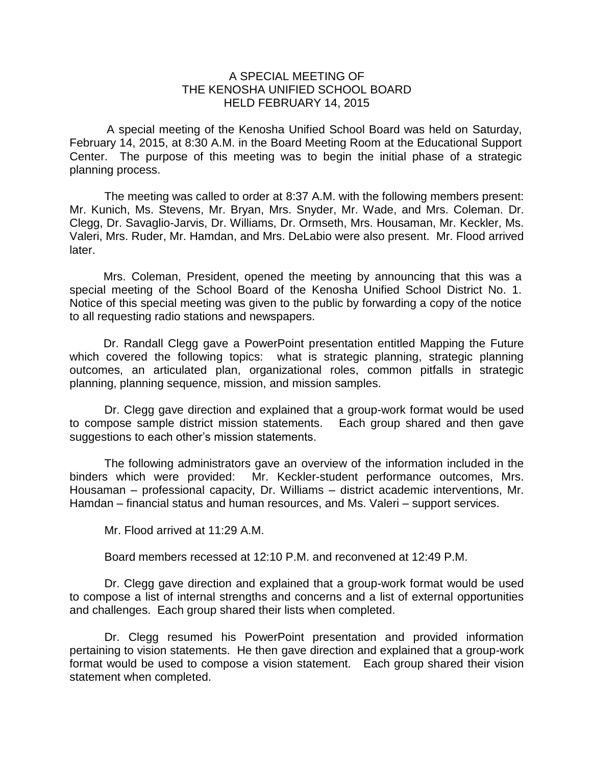## A SPECIAL MEETING OF THE KENOSHA UNIFIED SCHOOL BOARD HELD FEBRUARY 14, 2015

A special meeting of the Kenosha Unified School Board was held on Saturday, February 14, 2015, at 8:30 A.M. in the Board Meeting Room at the Educational Support Center. The purpose of this meeting was to begin the initial phase of a strategic planning process.

The meeting was called to order at 8:37 A.M. with the following members present: Mr. Kunich, Ms. Stevens, Mr. Bryan, Mrs. Snyder, Mr. Wade, and Mrs. Coleman. Dr. Clegg, Dr. Savaglio-Jarvis, Dr. Williams, Dr. Ormseth, Mrs. Housaman, Mr. Keckler, Ms. Valeri, Mrs. Ruder, Mr. Hamdan, and Mrs. DeLabio were also present. Mr. Flood arrived later.

Mrs. Coleman, President, opened the meeting by announcing that this was a special meeting of the School Board of the Kenosha Unified School District No. 1. Notice of this special meeting was given to the public by forwarding a copy of the notice to all requesting radio stations and newspapers.

Dr. Randall Clegg gave a PowerPoint presentation entitled Mapping the Future which covered the following topics: what is strategic planning, strategic planning outcomes, an articulated plan, organizational roles, common pitfalls in strategic planning, planning sequence, mission, and mission samples.

Dr. Clegg gave direction and explained that a group-work format would be used to compose sample district mission statements. Each group shared and then gave suggestions to each other's mission statements.

The following administrators gave an overview of the information included in the binders which were provided: Mr. Keckler-student performance outcomes, Mrs. Housaman – professional capacity, Dr. Williams – district academic interventions, Mr. Hamdan – financial status and human resources, and Ms. Valeri – support services.

Mr. Flood arrived at 11:29 A.M.

Board members recessed at 12:10 P.M. and reconvened at 12:49 P.M.

Dr. Clegg gave direction and explained that a group-work format would be used to compose a list of internal strengths and concerns and a list of external opportunities and challenges. Each group shared their lists when completed.

Dr. Clegg resumed his PowerPoint presentation and provided information pertaining to vision statements. He then gave direction and explained that a group-work format would be used to compose a vision statement. Each group shared their vision statement when completed.